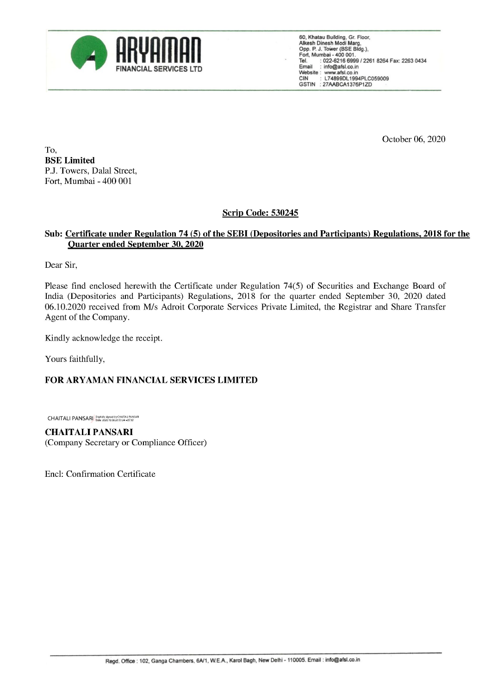

60, Khatau Building, Gr. Floor, Alkesh Dinesh Modi Marg, Opp. P. J. Tower (BSE Bidg.), Fort, Mumbai - 400 001. Tel. : 022-6216 6999 / 2261 8264 Fax: 2263 0434 FINANCIAL SERVICES LTD no incor nl Website : www.afsi.co.in CIN : L74899DL1994PLC059009 GSTIN : 27AABCA1376P1ZD

October 06, 2020

To, BSE Limited P.J. Towers, Dalal Street, Fort, Mumbai - 400 001

## Scrip Code: 530245

## Sub: Certificate under Regulation 74 (5) of the SEBI (Depositories and Participants) Regulations, 2018 for the Quarter ended September 30, 2020

Dear Sir,

Please find enclosed herewith the Certificate under Regulation 74(5) of Securities and Exchange Board of India (Depositories and Participants) Regulations, 2018 for the quarter ended September 30, 2020 dated 06.10.2020 received from M/s Adroit Corporate Services Private Limited, the Registrar and Share Transfer Agent of the Company. real sur,<br>lease find enclosed herewith the Certificate under Rease find enclosed herewith the Certificate under Real<br>6.10.2020 received from M/s Adroit Corporate Servi<br>gent of the Company.<br>indly acknowledge the receipt.<br>ou

Kindly acknowledge the receipt.

Yours faithfully,

## FOR ARYAMAN FINANCIAL SERVICES LIMITED

CHAITALI PANSARI Digitally signed by CHAITALI PANSARI

CHAITALI PANSARI (Company Secretary or Compliance Officer)

Encl: Confirmation Certificate